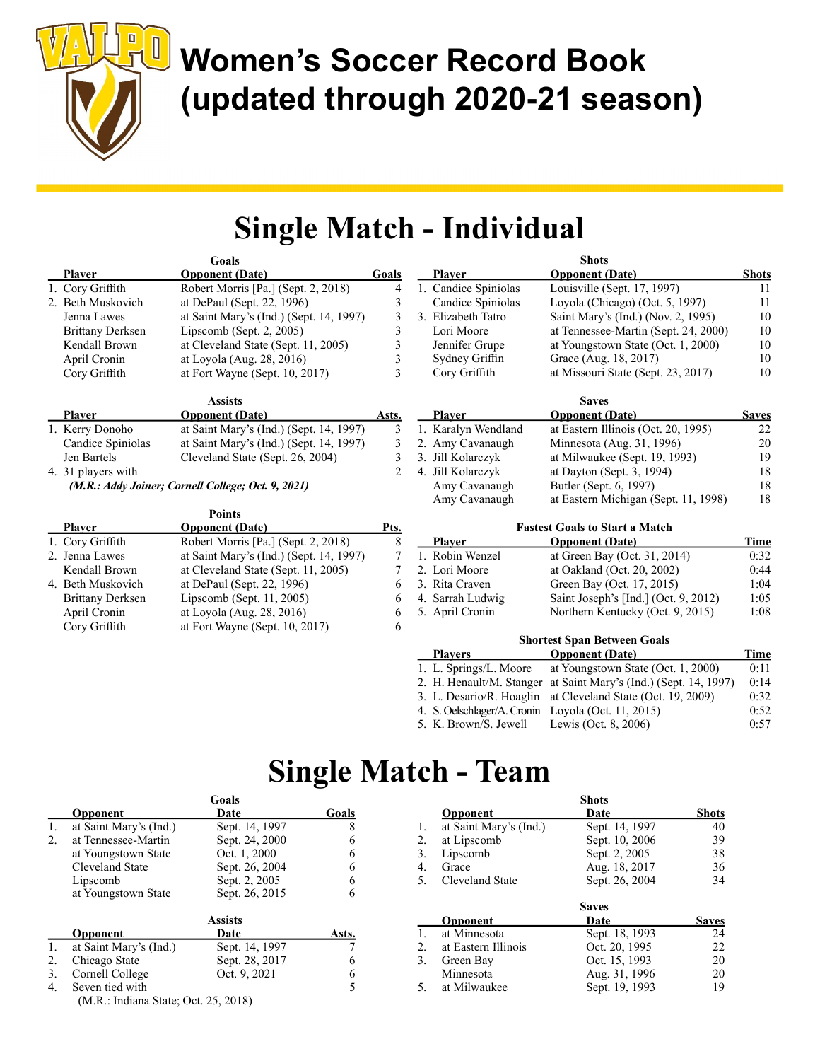

## Women's Soccer Record Book (updated through 2020-21 season)

### Single Match - Individual

|                         | Goals                                              |                |                        | <b>Shots</b>                          |                                            |
|-------------------------|----------------------------------------------------|----------------|------------------------|---------------------------------------|--------------------------------------------|
| <b>Player</b>           | <b>Opponent</b> (Date)                             | Goals          | <b>Player</b>          | <b>Opponent</b> (Date)                | <b>Shots</b>                               |
| 1. Cory Griffith        | Robert Morris [Pa.] (Sept. 2, 2018)                | $\overline{4}$ | 1. Candice Spiniolas   | Louisville (Sept. 17, 1997)           | 11                                         |
| 2. Beth Muskovich       | at DePaul (Sept. 22, 1996)                         | 3              | Candice Spiniolas      | Loyola (Chicago) (Oct. 5, 1997)       | 11                                         |
| Jenna Lawes             | at Saint Mary's (Ind.) (Sept. 14, 1997)            | 3              | 3. Elizabeth Tatro     | Saint Mary's (Ind.) (Nov. 2, 1995)    | 10                                         |
| <b>Brittany Derksen</b> | Lipscomb (Sept. 2, 2005)                           | 3              | Lori Moore             |                                       | 10<br>at Tennessee-Martin (Sept. 24, 2000) |
| Kendall Brown           | at Cleveland State (Sept. 11, 2005)                | 3              | Jennifer Grupe         | at Youngstown State (Oct. 1, 2000)    | 10                                         |
| April Cronin            | at Loyola (Aug. 28, 2016)                          | 3              | Sydney Griffin         | Grace (Aug. 18, 2017)                 | 10                                         |
| Cory Griffith           | at Fort Wayne (Sept. $10, 2017$ )                  | 3              | Cory Griffith          | at Missouri State (Sept. 23, 2017)    | 10                                         |
|                         | <b>Assists</b>                                     |                |                        | <b>Saves</b>                          |                                            |
| <b>Player</b>           | <b>Opponent</b> (Date)                             | Asts.          | <b>Player</b>          | <b>Opponent</b> (Date)                | <b>Saves</b>                               |
| 1. Kerry Donoho         | at Saint Mary's (Ind.) (Sept. 14, 1997)            | 3              | 1. Karalyn Wendland    | at Eastern Illinois (Oct. 20, 1995)   | 22                                         |
| Candice Spiniolas       | at Saint Mary's (Ind.) (Sept. 14, 1997)            | 3              | 2. Amy Cavanaugh       | Minnesota (Aug. 31, 1996)             | 20                                         |
| Jen Bartels             | Cleveland State (Sept. 26, 2004)                   | $\mathfrak{Z}$ | 3. Jill Kolarczyk      | at Milwaukee (Sept. 19, 1993)         | 19                                         |
| 4. 31 players with      |                                                    | $\overline{2}$ | 4. Jill Kolarczyk      | at Dayton (Sept. 3, 1994)             | 18                                         |
|                         | (M.R.: Addy Joiner; Cornell College; Oct. 9, 2021) |                | Amy Cavanaugh          | Butler (Sept. 6, 1997)                | 18                                         |
|                         |                                                    |                | Amy Cavanaugh          | at Eastern Michigan (Sept. 11, 1998)  | 18                                         |
|                         | <b>Points</b>                                      |                |                        |                                       |                                            |
| <b>Player</b>           | <b>Opponent</b> (Date)                             | <u>Pts.</u>    |                        | <b>Fastest Goals to Start a Match</b> |                                            |
| 1. Cory Griffith        | Robert Morris [Pa.] (Sept. 2, 2018)                | 8              | <b>Player</b>          | <b>Opponent</b> (Date)                | Time                                       |
| 2. Jenna Lawes          | at Saint Mary's (Ind.) (Sept. 14, 1997)            | $\overline{7}$ | 1. Robin Wenzel        | at Green Bay (Oct. 31, 2014)          | 0:32                                       |
| Kendall Brown           | at Cleveland State (Sept. 11, 2005)                | 7              | 2. Lori Moore          | at Oakland (Oct. 20, 2002)            | 0:44                                       |
| 4. Beth Muskovich       | at DePaul (Sept. 22, 1996)                         | 6              | 3. Rita Craven         | Green Bay (Oct. 17, 2015)             | 1:04                                       |
| <b>Brittany Derksen</b> | Lipscomb (Sept. 11, 2005)                          | 6              | 4. Sarrah Ludwig       | Saint Joseph's [Ind.] (Oct. 9, 2012)  | 1:05                                       |
| April Cronin            | at Loyola (Aug. 28, 2016)                          | 6              | 5. April Cronin        | Northern Kentucky (Oct. 9, 2015)      | 1:08                                       |
| Cory Griffith           | at Fort Wayne (Sept. $10, 2017$ )                  | 6              |                        |                                       |                                            |
|                         |                                                    |                |                        | <b>Shortest Span Between Goals</b>    |                                            |
|                         |                                                    |                | <b>Players</b>         | <b>Opponent</b> (Date)                | Time                                       |
|                         |                                                    |                | 1. L. Springs/L. Moore | at Youngstown State (Oct. 1, 2000)    | 0:11                                       |

|  | 2. H. Henault/M. Stanger at Saint Mary's (Ind.) (Sept. 14, 1997) | 0:14 |
|--|------------------------------------------------------------------|------|
|  | 3. L. Desario/R. Hoaglin at Cleveland State (Oct. 19, 2009)      | 0:32 |
|  | 4. S. Oelschlager/A. Cronin Loyola (Oct. 11, 2015)               | 0:52 |
|  |                                                                  |      |

5. K. Brown/S. Jewell Lewis (Oct. 8, 2006) 0:57

#### Single Match - Team

|    |                                      | униат          |       |
|----|--------------------------------------|----------------|-------|
|    | Opponent                             | Date           | Goals |
| 1. | at Saint Mary's (Ind.)               | Sept. 14, 1997 | 8     |
| 2. | at Tennessee-Martin                  | Sept. 24, 2000 | 6     |
|    | at Youngstown State                  | Oct. 1, 2000   | 6     |
|    | Cleveland State                      | Sept. 26, 2004 | 6     |
|    | Lipscomb                             | Sept. 2, 2005  |       |
|    | at Youngstown State                  | Sept. 26, 2015 |       |
|    |                                      | <b>Assists</b> |       |
|    | Opponent                             | Date           | Asts. |
| 1. | at Saint Mary's (Ind.)               | Sept. 14, 1997 |       |
| 2. | Chicago State                        | Sept. 28, 2017 | 6     |
| 3. | Cornell College                      | Oct. 9, 2021   |       |
| 4. | Seven tied with                      |                |       |
|    | (M.R.: Indiana State; Oct. 25, 2018) |                |       |

Goals

|    |                        | <b>Shots</b>   |              |
|----|------------------------|----------------|--------------|
|    | Opponent               | Date           | <b>Shots</b> |
| 1. | at Saint Mary's (Ind.) | Sept. 14, 1997 | 40           |
| 2. | at Lipscomb            | Sept. 10, 2006 | 39           |
| 3. | Lipscomb               | Sept. 2, 2005  | 38           |
| 4. | Grace                  | Aug. 18, 2017  | 36           |
| 5. | Cleveland State        | Sept. 26, 2004 | 34           |
|    |                        | <b>Saves</b>   |              |
|    | Opponent               | Date           | <b>Saves</b> |
| 1. | at Minnesota           | Sept. 18, 1993 | 24           |
| 2. | at Eastern Illinois    | Oct. 20, 1995  | 22           |
| 3. | Green Bay              | Oct. 15, 1993  | 20           |
|    | Minnesota              | Aug. 31, 1996  | 20           |
| 5. | at Milwaukee           | Sept. 19, 1993 | 19           |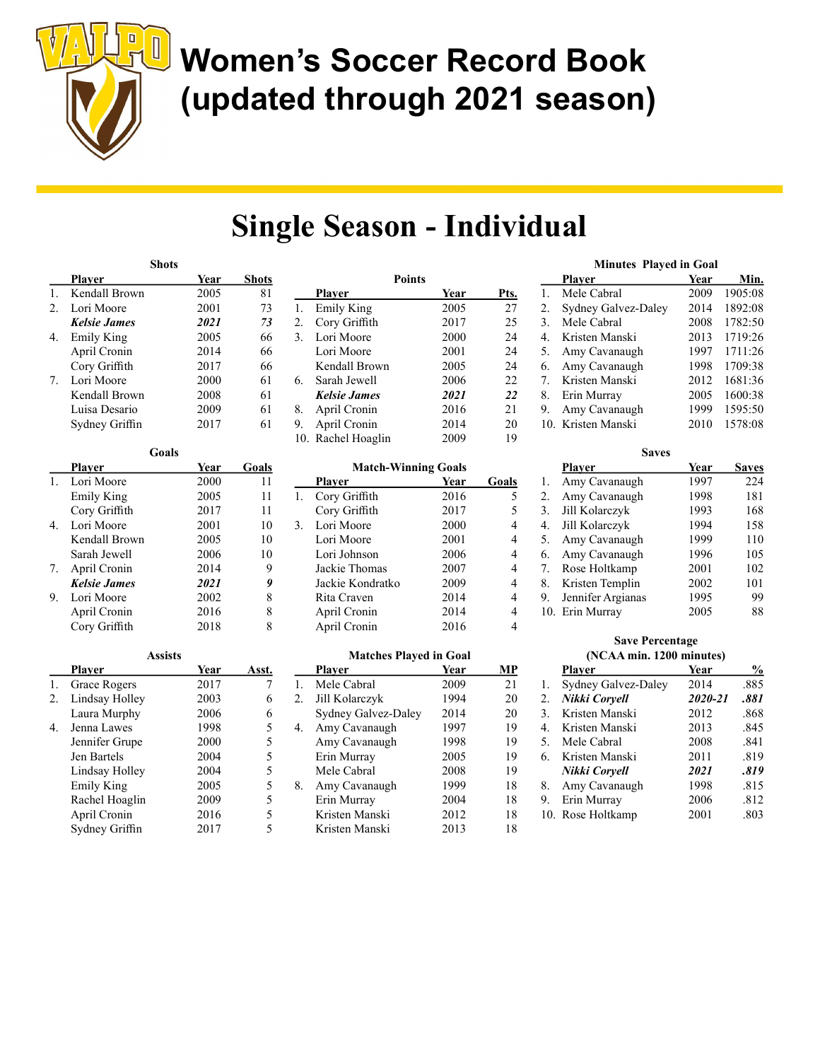

## Women's Soccer Record Book (updated through 2021 season)

### Single Season - Individual

Points

|                        | <b>Shots</b>        |      |              |
|------------------------|---------------------|------|--------------|
|                        | <b>Player</b>       | Year | <b>Shots</b> |
| 1.                     | Kendall Brown       | 2005 | 81           |
| $\mathfrak{D}_{\cdot}$ | Lori Moore          | 2001 | 73           |
|                        | <b>Kelsie James</b> | 2021 | 73           |
| 4.                     | Emily King          | 2005 | 66           |
|                        | April Cronin        | 2014 | 66           |
|                        | Cory Griffith       | 2017 | 66           |
| 7.                     | Lori Moore          | 2000 | 61           |
|                        | Kendall Brown       | 2008 | 61           |
|                        | Luisa Desario       | 2009 | 61           |
|                        | Sydney Griffin      | 2017 | 61           |

|    |                     | Goals |      |       |
|----|---------------------|-------|------|-------|
|    | Plaver              |       | Year | Goals |
| 1. | Lori Moore          |       | 2000 | 11    |
|    | Emily King          |       | 2005 | 11    |
|    | Cory Griffith       |       | 2017 | 11    |
| 4. | Lori Moore          |       | 2001 | 10    |
|    | Kendall Brown       |       | 2005 | 10    |
|    | Sarah Jewell        |       | 2006 | 10    |
|    | 7. April Cronin     |       | 2014 | 9     |
|    | <b>Kelsie James</b> |       | 2021 | 9     |
| 9. | Lori Moore          |       | 2002 | 8     |
|    | April Cronin        |       | 2016 | 8     |
|    | Cory Griffith       |       | 2018 | 8     |

|    | <b>Assists</b> |      |       |    |
|----|----------------|------|-------|----|
|    | <b>Player</b>  | Year | Asst. |    |
| 1. | Grace Rogers   | 2017 |       | 1. |
| 2. | Lindsay Holley | 2003 | 6     | 2. |
|    | Laura Murphy   | 2006 | 6     |    |
| 4. | Jenna Lawes    | 1998 | 5     |    |
|    | Jennifer Grupe | 2000 | 5     |    |
|    | Jen Bartels    | 2004 | 5     |    |
|    | Lindsay Holley | 2004 | 5     |    |
|    | Emily King     | 2005 | 5     | 8. |
|    | Rachel Hoaglin | 2009 | 5     |    |
|    | April Cronin   | 2016 | 5     |    |
|    | Sydney Griffin | 2017 | 5     |    |

|    | Plaver              | Year | Pts. |
|----|---------------------|------|------|
| 1. | <b>Emily King</b>   | 2005 | 27   |
| 2. | Cory Griffith       | 2017 | 25   |
| 3. | Lori Moore          | 2000 | 24   |
|    | Lori Moore          | 2001 | 24   |
|    | Kendall Brown       | 2005 | 24   |
| 6. | Sarah Jewell        | 2006 | 22   |
|    | <b>Kelsie James</b> | 2021 | 22   |
| 8. | April Cronin        | 2016 | 21   |
| 9. | April Cronin        | 2014 | 20   |
|    | 10. Rachel Hoaglin  | 2009 | 19   |

|    | <b>Match-Winning Goals</b> |      |       |  |  |
|----|----------------------------|------|-------|--|--|
|    | Plaver                     | Year | Goals |  |  |
| 1. | Cory Griffith              | 2016 | 5     |  |  |
|    | Cory Griffith              | 2017 | 5     |  |  |
| 3. | Lori Moore                 | 2000 | 4     |  |  |
|    | Lori Moore                 | 2001 | 4     |  |  |
|    | Lori Johnson               | 2006 | 4     |  |  |
|    | Jackie Thomas              | 2007 | 4     |  |  |
|    | Jackie Kondratko           | 2009 | 4     |  |  |
|    | Rita Craven                | 2014 | 4     |  |  |
|    | April Cronin               | 2014 | 4     |  |  |
|    | April Cronin               | 2016 |       |  |  |

#### Matches Played in Goal

|         | Plaver              | Year | MP |
|---------|---------------------|------|----|
| $1_{-}$ | Mele Cabral         | 2009 | 21 |
| 2.      | Jill Kolarczyk      | 1994 | 20 |
|         | Sydney Galvez-Daley | 2014 | 20 |
| 4.      | Amy Cavanaugh       | 1997 | 19 |
|         | Amy Cavanaugh       | 1998 | 19 |
|         | Erin Murray         | 2005 | 19 |
|         | Mele Cabral         | 2008 | 19 |
| 8.      | Amy Cavanaugh       | 1999 | 18 |
|         | Erin Murray         | 2004 | 18 |
|         | Kristen Manski      | 2012 | 18 |
|         | Kristen Manski      | 2013 | 18 |

#### Minutes Played in Goal Player Year Min. 1. Mele Cabral 2009 1905:08 2. Sydney Galvez-Daley 2014 1892:08 3. Mele Cabral 2008 1782:50 4. Kristen Manski 2013 1719:26 5. Amy Cavanaugh 1997 1711:26 6. Amy Cavanaugh 1998 1709:38 7. Kristen Manski 2012 1681:36 8. Erin Murray 2005 1600:38 9. Amy Cavanaugh 1999 1595:50 10. Kristen Manski 2010 1578:08

|    | <b>Saves</b>      |      |              |
|----|-------------------|------|--------------|
|    | Plaver            | Year | <b>Saves</b> |
| 1. | Amy Cavanaugh     | 1997 | 224          |
| 2. | Amy Cavanaugh     | 1998 | 181          |
| 3. | Jill Kolarczyk    | 1993 | 168          |
| 4. | Jill Kolarczyk    | 1994 | 158          |
| 5. | Amy Cavanaugh     | 1999 | 110          |
| 6. | Amy Cavanaugh     | 1996 | 105          |
| 7. | Rose Holtkamp     | 2001 | 102          |
| 8. | Kristen Templin   | 2002 | 101          |
| 9. | Jennifer Argianas | 1995 | 99           |
|    | 10. Erin Murray   | 2005 | 88           |

#### Save Percentage (NCAA min. 1200 minutes)

|              | Plaver              | Year    | $\%$ |
|--------------|---------------------|---------|------|
| 1.           | Sydney Galvez-Daley | 2014    | .885 |
| 2.           | Nikki Coryell       | 2020-21 | .881 |
| 3.           | Kristen Manski      | 2012    | .868 |
| $\mathbf{4}$ | Kristen Manski      | 2013    | .845 |
| 5.           | Mele Cabral         | 2008    | .841 |
| 6.           | Kristen Manski      | 2011    | .819 |
|              | Nikki Coryell       | 2021    | .819 |
| 8.           | Amy Cavanaugh       | 1998    | .815 |
| 9.           | Erin Murray         | 2006    | .812 |
|              | 10. Rose Holtkamp   | 2001    | .803 |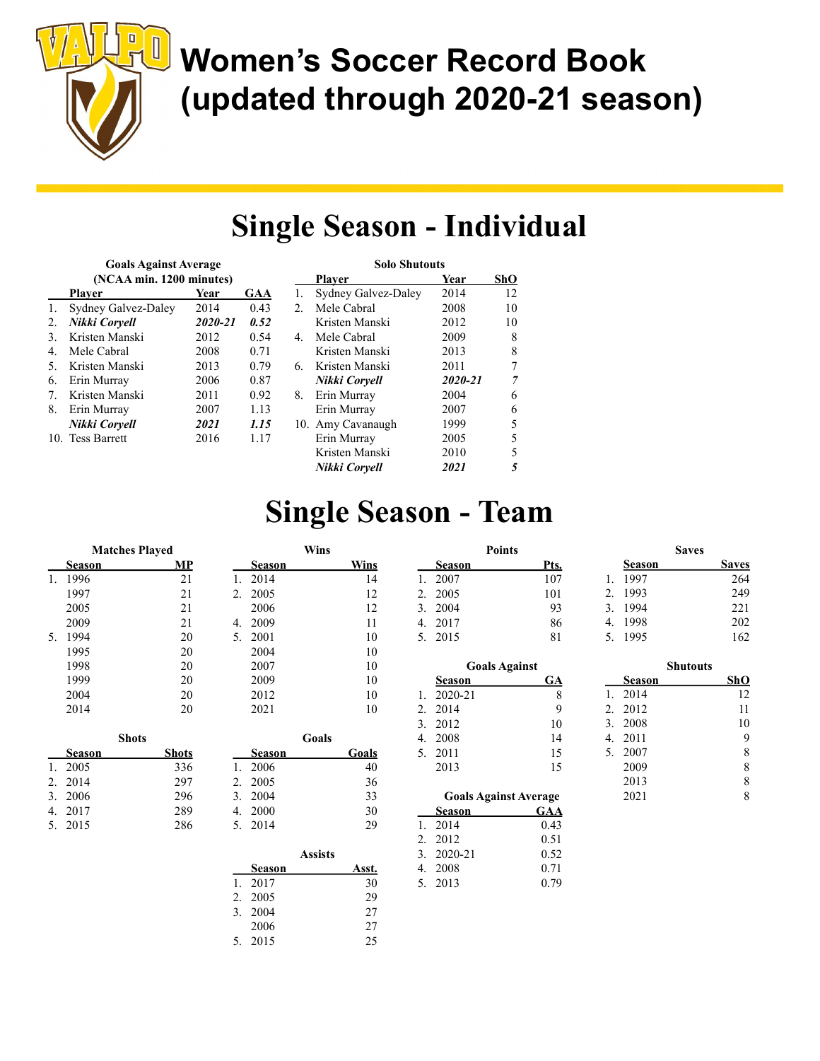

## Women's Soccer Record Book (updated through 2020-21 season)

#### Single Season - Individual

| <b>Goals Against Average</b> |                          |         |      |  |  |  |
|------------------------------|--------------------------|---------|------|--|--|--|
|                              | (NCAA min. 1200 minutes) |         |      |  |  |  |
|                              | Plaver                   | Year    | GAA  |  |  |  |
| $\mathbf{1}$ .               | Sydney Galvez-Daley      | 2014    | 0.43 |  |  |  |
| 2.                           | Nikki Coryell            | 2020-21 | 0.52 |  |  |  |
| 3.                           | Kristen Manski           | 2012    | 0.54 |  |  |  |
| 4.                           | Mele Cabral              | 2008    | 0.71 |  |  |  |
| 5.                           | Kristen Manski           | 2013    | 0.79 |  |  |  |
| 6.                           | Erin Murray              | 2006    | 0.87 |  |  |  |
| 7.                           | Kristen Manski           | 2011    | 0.92 |  |  |  |
| 8.                           | Erin Murray              | 2007    | 1.13 |  |  |  |
|                              | Nikki Coryell            | 2021    | 1.15 |  |  |  |
|                              | 10. Tess Barrett         | 2016    | 1.17 |  |  |  |

|      |    | <b>Solo Shutouts</b> |         |     |
|------|----|----------------------|---------|-----|
|      |    | Plaver               | Year    | ShO |
| GAA  | 1. | Sydney Galvez-Daley  | 2014    | 12  |
| 0.43 | 2. | Mele Cabral          | 2008    | 10  |
| 0.52 |    | Kristen Manski       | 2012    | 10  |
| 0.54 | 4. | Mele Cabral          | 2009    | 8   |
| 0.71 |    | Kristen Manski       | 2013    | 8   |
| 0.79 | 6. | Kristen Manski       | 2011    | 7   |
| 0.87 |    | Nikki Corvell        | 2020-21 | 7   |
| 0.92 | 8. | Erin Murray          | 2004    | 6   |
| 1.13 |    | Erin Murray          | 2007    | 6   |
| 1.15 |    | 10. Amy Cavanaugh    | 1999    | 5   |
| 1.17 |    | Erin Murray          | 2005    | 5   |
|      |    | Kristen Manski       | 2010    | 5   |
|      |    | Nikki Corvell        | 2021    | 5   |

### Single Season - Team

|    |               | <b>Matches Played</b> |    |               | Wins  |             |
|----|---------------|-----------------------|----|---------------|-------|-------------|
|    | Season        | МP                    |    | Season        |       | <b>Wins</b> |
| 1. | 1996          | 21                    | 1. | 2014          |       | 14          |
|    | 1997          | 21                    | 2. | 2005          |       | 12          |
|    | 2005          | 21                    |    | 2006          |       | 12          |
|    | 2009          | 21                    | 4. | 2009          |       | 11          |
| 5. | 1994          | 20                    | 5. | 2001          |       | 10          |
|    | 1995          | 20                    |    | 2004          |       | 10          |
|    | 1998          | 20                    |    | 2007          |       | 10          |
|    | 1999          | 20                    |    | 2009          |       | 10          |
|    | 2004          | 20                    |    | 2012          |       | 10          |
|    | 2014          | 20                    |    | 2021          |       | 10          |
|    |               | <b>Shots</b>          |    |               | Goals |             |
|    | <b>Season</b> | <b>Shots</b>          |    | <b>Season</b> |       | Goals       |
| 1. | 2005          | 336                   | 1. | 2006          |       | 40          |
| 2. | 2014          | 297                   | 2. | 2005          |       | 36          |
| 3. | 2006          | 296                   | 3. | 2004          |       | 33          |
| 4. | 2017          | 289                   | 4. | 2000          |       | 30          |
| 5. | 2015          | 286                   | 5. | 2014          |       | 29          |

|    | 2009   |       | 10    |
|----|--------|-------|-------|
|    | 2012   |       | 10    |
|    | 2021   |       | 10    |
|    |        |       |       |
|    |        | Goals |       |
|    | Season |       | Goals |
|    |        |       |       |
| 1. | 2006   |       | 40    |
| 2. | 2005   |       | 36    |
| 3. | 2004   |       | 33    |
| 4. | 2000   |       | 30    |
| 5. | 2014   |       | 29    |

|        | <b>Assists</b>           |       |
|--------|--------------------------|-------|
| Season |                          | Asst. |
| 2017   |                          | 30    |
| 2005   |                          | 29    |
|        |                          | 27    |
| 2006   |                          | 27    |
|        |                          | 25    |
|        | 2.<br>3. 2004<br>5. 2015 |       |

| <b>Goals Against</b> |    |
|----------------------|----|
| Season               | GA |
| 1. 2020-21           | 8  |
| 2.2014               | 9  |
| 3.2012               | 10 |
| 4. 2008              | 14 |
| 5. 2011              | 15 |
| 2013                 | 15 |

Points Season Pts. 1. 2007 107 2. 2005 101 3. 2004 93 4. 2017 86 5. 2015 81

|    | <b>Goals Against Average</b> |      |
|----|------------------------------|------|
|    | Season                       | GAA  |
| 1. | 2014                         | 0.43 |
|    | 2.2012                       | 0.51 |
|    | 3. 2020-21                   | 0.52 |
|    | 4. 2008                      | 0.71 |
|    | 5. 2013                      | 0.79 |

|    |        | <b>Saves</b> |              |
|----|--------|--------------|--------------|
|    | Season |              | <b>Saves</b> |
| 1. | 1997   |              | 264          |
| 2. | 1993   |              | 249          |
| 3. | 1994   |              | 221          |
| 4. | 1998   |              | 202          |
| 5. | 1995   |              | 162          |

|     |        | Shutouts |     |
|-----|--------|----------|-----|
|     | Season |          | ShO |
| 1.  | 2014   |          | 12  |
| 2.5 | 2012   |          | 11  |
| 3.  | 2008   |          | 10  |
| 4.  | 2011   |          | 9   |
| 5.  | 2007   |          | 8   |
|     | 2009   |          | 8   |
|     | 2013   |          | 8   |
|     | 2021   |          | 8   |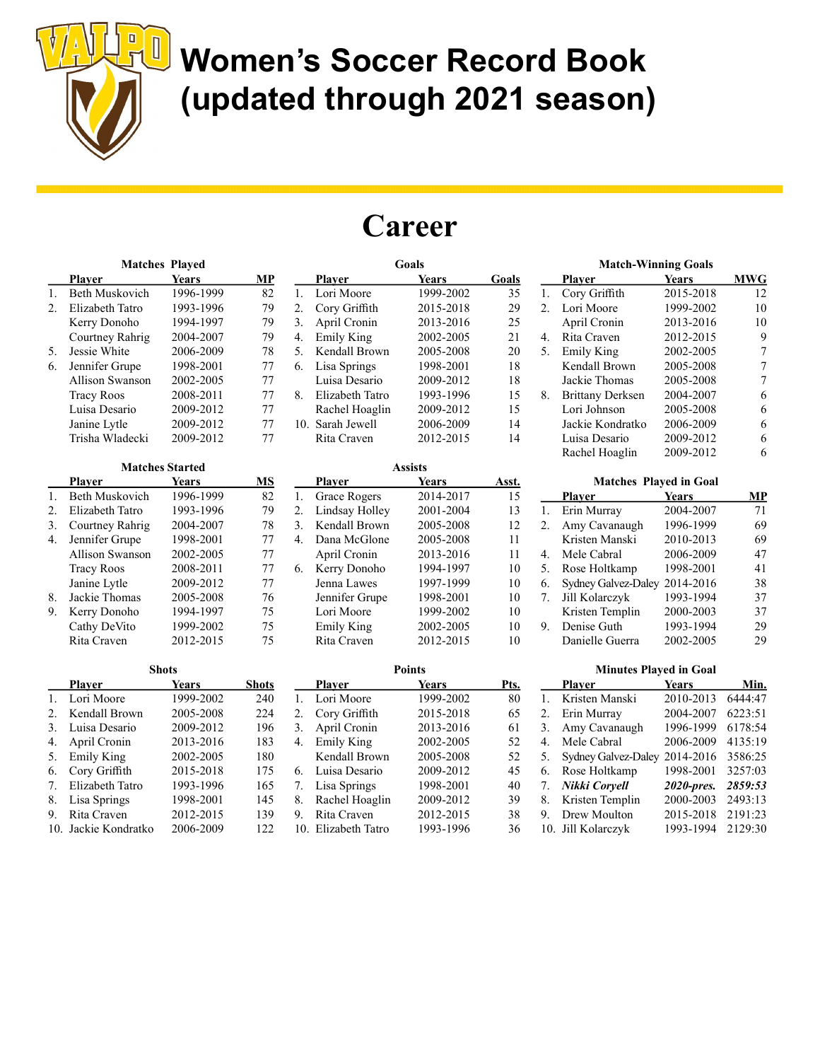

7. Elizabeth Tatro 1993-1996 165 8. Lisa Springs 1998-2001 145 9. Rita Craven 2012-2015 139 10. Jackie Kondratko 2006-2009 122

## Women's Soccer Record Book (updated through 2021 season)

#### **Career**

7. Lisa Springs 1998-2001 40 8. Rachel Hoaglin 2009-2012 39 9. Rita Craven 2012-2015 38 10. Elizabeth Tatro 1993-1996 36

|    |                        | <b>Matches Played</b>  |              |    |                     | Goals          |       |                  |              |
|----|------------------------|------------------------|--------------|----|---------------------|----------------|-------|------------------|--------------|
|    | Player                 | Years                  | MP           |    | Player              | <b>Years</b>   | Goals |                  | <b>Playe</b> |
| 1. | <b>Beth Muskovich</b>  | 1996-1999              | 82           | 1. | Lori Moore          | 1999-2002      | 35    | 1.               | Cory         |
| 2. | Elizabeth Tatro        | 1993-1996              | 79           | 2. | Cory Griffith       | 2015-2018      | 29    | 2.               | Lori N       |
|    | Kerry Donoho           | 1994-1997              | 79           | 3. | April Cronin        | 2013-2016      | 25    |                  | April        |
|    | Courtney Rahrig        | 2004-2007              | 79           | 4. | Emily King          | 2002-2005      | 21    | $\overline{4}$ . | Rita C       |
| 5. | Jessie White           | 2006-2009              | 78           | 5. | Kendall Brown       | 2005-2008      | 20    | 5 <sub>1</sub>   | Emily        |
| 6. | Jennifer Grupe         | 1998-2001              | 77           | 6. | Lisa Springs        | 1998-2001      | 18    |                  | Kenda        |
|    | <b>Allison Swanson</b> | 2002-2005              | 77           |    | Luisa Desario       | 2009-2012      | 18    |                  | Jackie       |
|    | <b>Tracy Roos</b>      | 2008-2011              | 77           | 8. | Elizabeth Tatro     | 1993-1996      | 15    | 8.               | Britta       |
|    | Luisa Desario          | 2009-2012              | 77           |    | Rachel Hoaglin      | 2009-2012      | 15    |                  | Lori J       |
|    | Janine Lytle           | 2009-2012              | 77           |    | 10. Sarah Jewell    | 2006-2009      | 14    |                  | Jackie       |
|    | Trisha Wladecki        | 2009-2012              | 77           |    | Rita Craven         | 2012-2015      | 14    |                  | Luisa        |
|    |                        |                        |              |    |                     |                |       |                  | Rache        |
|    |                        | <b>Matches Started</b> |              |    |                     | <b>Assists</b> |       |                  |              |
|    | <b>Player</b>          | <b>Years</b>           | <b>MS</b>    |    | <b>Player</b>       | <b>Years</b>   | Asst. |                  |              |
| 1. | <b>Beth Muskovich</b>  | 1996-1999              | 82           | 1. | <b>Grace Rogers</b> | 2014-2017      | 15    |                  | <b>Playe</b> |
| 2. | Elizabeth Tatro        | 1993-1996              | 79           | 2. | Lindsay Holley      | 2001-2004      | 13    | 1.               | Erin N       |
| 3. | Courtney Rahrig        | 2004-2007              | 78           | 3. | Kendall Brown       | 2005-2008      | 12    | $\overline{2}$ . | Amy 0        |
| 4. | Jennifer Grupe         | 1998-2001              | 77           | 4. | Dana McGlone        | 2005-2008      | 11    |                  | Kriste       |
|    | <b>Allison Swanson</b> | 2002-2005              | 77           |    | April Cronin        | 2013-2016      | 11    | 4.               | Mele         |
|    | <b>Tracy Roos</b>      | 2008-2011              | 77           | 6. | Kerry Donoho        | 1994-1997      | 10    | 5.               | Rose 1       |
|    | Janine Lytle           | 2009-2012              | 77           |    | Jenna Lawes         | 1997-1999      | 10    | 6.               | Sydne        |
| 8. | Jackie Thomas          | 2005-2008              | 76           |    | Jennifer Grupe      | 1998-2001      | 10    | 7.               | Jill Ko      |
| 9. | Kerry Donoho           | 1994-1997              | 75           |    | Lori Moore          | 1999-2002      | 10    |                  | Kriste       |
|    | Cathy DeVito           | 1999-2002              | 75           |    | <b>Emily King</b>   | 2002-2005      | 10    | 9.               | Denis        |
|    | Rita Craven            | 2012-2015              | 75           |    | Rita Craven         | 2012-2015      | 10    |                  | Danie        |
|    |                        | <b>Shots</b>           |              |    |                     | <b>Points</b>  |       |                  |              |
|    | <b>Player</b>          | <b>Years</b>           | <b>Shots</b> |    | <b>Player</b>       | <b>Years</b>   | Pts.  |                  | <b>Playe</b> |
| 1. | Lori Moore             | 1999-2002              | 240          | 1. | Lori Moore          | 1999-2002      | 80    | 1.               | Kriste       |
| 2. | Kendall Brown          | 2005-2008              | 224          | 2. | Cory Griffith       | 2015-2018      | 65    | 2.               | Erin N       |
| 3. | Luisa Desario          | 2009-2012              | 196          | 3. | April Cronin        | 2013-2016      | 61    | 3.               | Amy 0        |
| 4. | April Cronin           | 2013-2016              | 183          | 4. | <b>Emily King</b>   | 2002-2005      | 52    | 4.               | Mele         |
| 5. | <b>Emily King</b>      | 2002-2005              | 180          |    | Kendall Brown       | 2005-2008      | 52    | 5.               | Sydney       |
| 6. | Cory Griffith          | 2015-2018              | 175          | 6. | Luisa Desario       | 2009-2012      | 45    | 6.               | Rose 1       |

|    | <b>Match-Winning Goals</b> |              |            |  |  |
|----|----------------------------|--------------|------------|--|--|
|    | Plaver                     | <b>Years</b> | <b>MWG</b> |  |  |
| 1. | Cory Griffith              | 2015-2018    | 12         |  |  |
| 2. | Lori Moore                 | 1999-2002    | 10         |  |  |
|    | April Cronin               | 2013-2016    | 10         |  |  |
| 4. | Rita Craven                | 2012-2015    | 9          |  |  |
| 5. | Emily King                 | 2002-2005    |            |  |  |
|    | Kendall Brown              | 2005-2008    | 7          |  |  |
|    | Jackie Thomas              | 2005-2008    | 7          |  |  |
| 8. | <b>Brittany Derksen</b>    | 2004-2007    | 6          |  |  |
|    | Lori Johnson               | 2005-2008    | 6          |  |  |
|    | Jackie Kondratko           | 2006-2009    | 6          |  |  |
|    | Luisa Desario              | 2009-2012    | 6          |  |  |
|    | Rachel Hoaglin             | 2009-2012    |            |  |  |
|    |                            |              |            |  |  |

| <b>Matches Played in Goal</b> |                     |              |    |  |  |
|-------------------------------|---------------------|--------------|----|--|--|
|                               | <b>Player</b>       | <b>Years</b> | MP |  |  |
| 1.                            | Erin Murray         | 2004-2007    | 71 |  |  |
| 2.                            | Amy Cavanaugh       | 1996-1999    | 69 |  |  |
|                               | Kristen Manski      | 2010-2013    | 69 |  |  |
| 4.                            | Mele Cabral         | 2006-2009    | 47 |  |  |
| 5.                            | Rose Holtkamp       | 1998-2001    | 41 |  |  |
| 6.                            | Sydney Galvez-Daley | 2014-2016    | 38 |  |  |
| 7.                            | Jill Kolarczyk      | 1993-1994    | 37 |  |  |
|                               | Kristen Templin     | 2000-2003    | 37 |  |  |
| 9.                            | Denise Guth         | 1993-1994    | 29 |  |  |
|                               | Danielle Guerra     | 2002-2005    | 29 |  |  |

| <b>Minutes Played in Goal</b> |                     |              |         |  |
|-------------------------------|---------------------|--------------|---------|--|
|                               | Plaver              | <b>Years</b> | Min.    |  |
| 1.                            | Kristen Manski      | 2010-2013    | 6444:47 |  |
| 2.                            | Erin Murray         | 2004-2007    | 6223:51 |  |
| 3.                            | Amy Cavanaugh       | 1996-1999    | 6178:54 |  |
| 4.                            | Mele Cabral         | 2006-2009    | 4135:19 |  |
| 5.                            | Sydney Galvez-Daley | 2014-2016    | 3586:25 |  |
| 6.                            | Rose Holtkamp       | 1998-2001    | 3257:03 |  |
| 7.                            | Nikki Coryell       | 2020-pres.   | 2859:53 |  |
| 8.                            | Kristen Templin     | 2000-2003    | 2493:13 |  |
| 9.                            | Drew Moulton        | 2015-2018    | 2191:23 |  |

10. Jill Kolarczyk 1993-1994 2129:30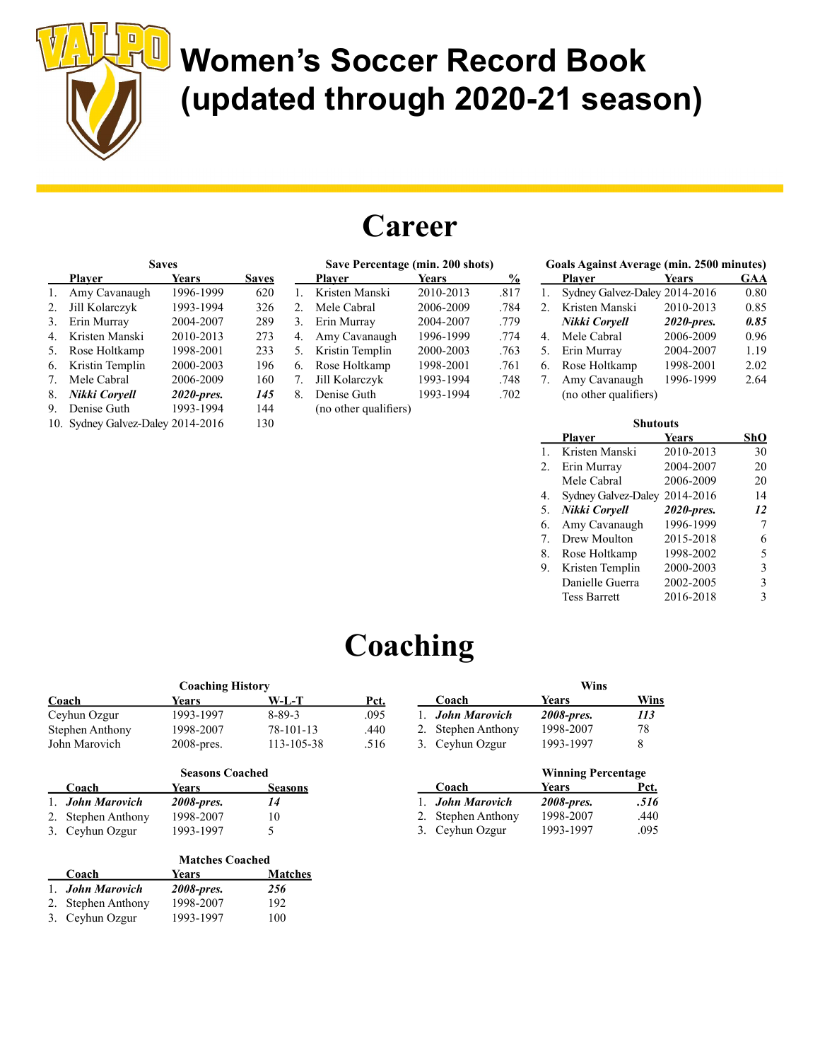

# U Women's Soccer Record Book (updated through 2020-21 season)

#### **Career**

| <b>Saves</b> |                                        |            |     |  |  |  |  |
|--------------|----------------------------------------|------------|-----|--|--|--|--|
|              | Plaver<br><b>Years</b><br><b>Saves</b> |            |     |  |  |  |  |
| 1.           | Amy Cavanaugh                          | 1996-1999  | 620 |  |  |  |  |
| 2.           | Jill Kolarczyk                         | 1993-1994  | 326 |  |  |  |  |
| 3.           | Erin Murray                            | 2004-2007  | 289 |  |  |  |  |
| 4.           | Kristen Manski                         | 2010-2013  | 273 |  |  |  |  |
| 5.           | Rose Holtkamp                          | 1998-2001  | 233 |  |  |  |  |
| 6.           | Kristin Templin                        | 2000-2003  | 196 |  |  |  |  |
| 7.           | Mele Cabral                            | 2006-2009  | 160 |  |  |  |  |
| 8.           | Nikki Coryell                          | 2020-pres. | 145 |  |  |  |  |
| 9.           | Denise Guth                            | 1993-1994  | 144 |  |  |  |  |
| 10.          | Sydney Galvez-Daley 2014-2016          |            | 130 |  |  |  |  |

| Save Percentage (min. 200 shots) |                       |              |      |
|----------------------------------|-----------------------|--------------|------|
|                                  | <b>Player</b>         | <b>Years</b> | %    |
| 1.                               | Kristen Manski        | 2010-2013    | .817 |
| 2.                               | Mele Cabral           | 2006-2009    | .784 |
| 3.                               | Erin Murray           | 2004-2007    | .779 |
| 4.                               | Amy Cavanaugh         | 1996-1999    | .774 |
| 5.                               | Kristin Templin       | 2000-2003    | .763 |
| 6.                               | Rose Holtkamp         | 1998-2001    | .761 |
| 7.                               | Jill Kolarczyk        | 1993-1994    | .748 |
| 8.                               | Denise Guth           | 1993-1994    | .702 |
|                                  | (no other qualifiers) |              |      |

| <b>Goals Against Average (min. 2500 minutes)</b> |                               |              |      |  |
|--------------------------------------------------|-------------------------------|--------------|------|--|
|                                                  | Player                        | <b>Years</b> | GAA  |  |
| 1.                                               | Sydney Galvez-Daley 2014-2016 |              | 0.80 |  |
| 2.                                               | Kristen Manski                | 2010-2013    | 0.85 |  |
|                                                  | Nikki Coryell                 | 2020-pres.   | 0.85 |  |
| 4.                                               | Mele Cabral                   | 2006-2009    | 0.96 |  |
| 5.                                               | Erin Murray                   | 2004-2007    | 1.19 |  |
| 6.                                               | Rose Holtkamp                 | 1998-2001    | 2.02 |  |
| 7.                                               | Amy Cavanaugh                 | 1996-1999    | 2.64 |  |
|                                                  | (no other qualifiers)         |              |      |  |

| <b>Shutouts</b> |                     |              |     |  |
|-----------------|---------------------|--------------|-----|--|
|                 | Plaver              | <b>Years</b> | ShO |  |
| 1.              | Kristen Manski      | 2010-2013    | 30  |  |
| 2.              | Erin Murray         | 2004-2007    | 20  |  |
|                 | Mele Cabral         | 2006-2009    | 20  |  |
| 4.              | Sydney Galvez-Daley | 2014-2016    | 14  |  |
| 5.              | Nikki Coryell       | 2020-pres.   | 12  |  |
| 6.              | Amy Cavanaugh       | 1996-1999    |     |  |
| 7.              | Drew Moulton        | 2015-2018    | 6   |  |
| 8.              | Rose Holtkamp       | 1998-2002    | 5   |  |
| 9.              | Kristen Templin     | 2000-2003    | 3   |  |
|                 | Danielle Guerra     | 2002-2005    | 3   |  |
|                 | <b>Tess Barrett</b> | 2016-2018    | 3   |  |
|                 |                     |              |     |  |

#### **Coaching**

| <b>Coaching History</b> |               |              |      |  |
|-------------------------|---------------|--------------|------|--|
| Coach                   | <b>Years</b>  | W-L-T        | Pct. |  |
| Ceyhun Ozgur            | 1993-1997     | $8 - 89 - 3$ | .095 |  |
| <b>Stephen Anthony</b>  | 1998-2007     | 78-101-13    | .440 |  |
| John Marovich           | $2008$ -pres. | 113-105-38   | .516 |  |

| <b>Seasons Coached</b> |            |                |
|------------------------|------------|----------------|
| Coach                  | Years      | <b>Seasons</b> |
| 1. John Marovich       | 2008-pres. | 14             |
| 2. Stephen Anthony     | 1998-2007  | 10             |
| 3. Ceyhun Ozgur        | 1993-1997  | ৲              |

|                    | <b>Matches Coached</b> |                |  |
|--------------------|------------------------|----------------|--|
| Coach              | Years                  | <b>Matches</b> |  |
| 1. John Marovich   | 2008-pres.             | 256            |  |
| 2. Stephen Anthony | 1998-2007              | 192            |  |
| 3. Ceyhun Ozgur    | 1993-1997              | 100            |  |

|                         | Wins       |      |  |
|-------------------------|------------|------|--|
| Coach                   | Years      | Wins |  |
| 1. <b>John Marovich</b> | 2008-pres. | 113  |  |
| 2. Stephen Anthony      | 1998-2007  | 78   |  |
| 3. Ceyhun Ozgur         | 1993-1997  | 8    |  |

|                    | <b>Winning Percentage</b> |      |
|--------------------|---------------------------|------|
| Coach              | Years                     | Pct. |
| 1. John Marovich   | 2008-pres.                | .516 |
| 2. Stephen Anthony | 1998-2007                 | .440 |
| 3. Ceyhun Ozgur    | 1993-1997                 | .095 |